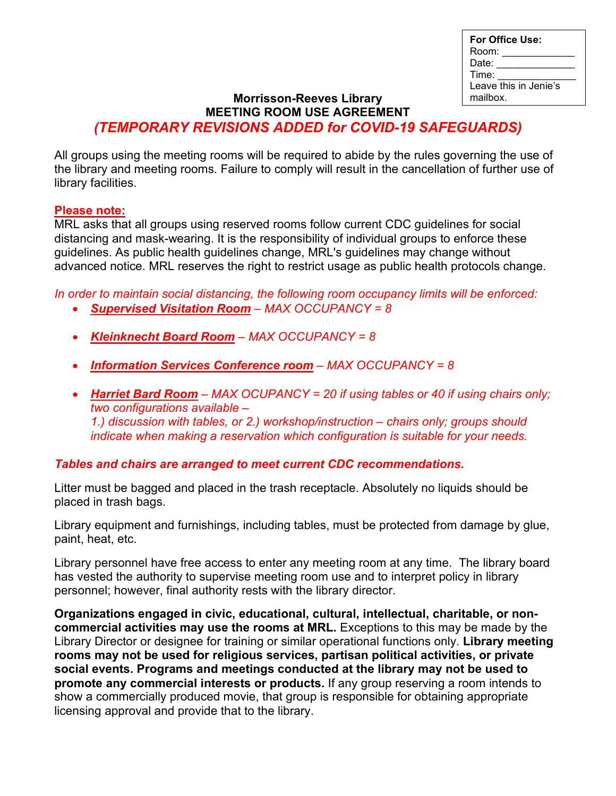| For Office Use:       |
|-----------------------|
| Room:                 |
| Date:                 |
| Time:                 |
| Leave this in Jenie's |
| mailbox.              |

## **Morrisson-Reeves Library MEETING ROOM USE AGREEMENT** *(TEMPORARY REVISIONS ADDED for COVID-19 SAFEGUARDS)*

All groups using the meeting rooms will be required to abide by the rules governing the use of the library and meeting rooms. Failure to comply will result in the cancellation of further use of library facilities.

## **Please note:**

MRL asks that all groups using reserved rooms follow current CDC guidelines for social distancing and mask-wearing. It is the responsibility of individual groups to enforce these guidelines. As public health guidelines change, MRL's guidelines may change without advanced notice. MRL reserves the right to restrict usage as public health protocols change.

*In order to maintain social distancing, the following room occupancy limits will be enforced:*

- *Supervised Visitation Room – MAX OCCUPANCY = 8*
- *Kleinknecht Board Room – MAX OCCUPANCY = 8*
- *Information Services Conference room – MAX OCCUPANCY = 8*
- *Harriet Bard Room – MAX OCUPANCY = 20 if using tables or 40 if using chairs only; two configurations available – 1.) discussion with tables, or 2.) workshop/instruction – chairs only; groups should indicate when making a reservation which configuration is suitable for your needs.*

## *Tables and chairs are arranged to meet current CDC recommendations.*

Litter must be bagged and placed in the trash receptacle. Absolutely no liquids should be placed in trash bags.

Library equipment and furnishings, including tables, must be protected from damage by glue, paint, heat, etc.

Library personnel have free access to enter any meeting room at any time. The library board has vested the authority to supervise meeting room use and to interpret policy in library personnel; however, final authority rests with the library director.

**Organizations engaged in civic, educational, cultural, intellectual, charitable, or noncommercial activities may use the rooms at MRL.** Exceptions to this may be made by the Library Director or designee for training or similar operational functions only*.* **Library meeting rooms may not be used for religious services, partisan political activities, or private social events. Programs and meetings conducted at the library may not be used to promote any commercial interests or products.** If any group reserving a room intends to show a commercially produced movie, that group is responsible for obtaining appropriate licensing approval and provide that to the library.